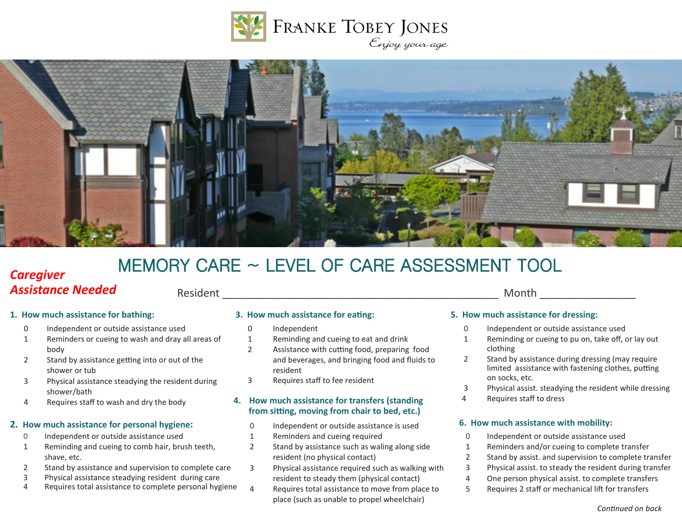



# MEMORY CARE ~ LEVEL OF CARE ASSESSMENT TOOL

# *Caregiver Assistance Needed*

Resident the contract of the contract of the contract of the contract of the contract of the contract of the contract of the contract of the contract of the contract of the contract of the contract of the contract of the c

- 0 Independent or outside assistance used
- 1 Reminders or cueing to wash and dray all areas of body
- 2 Stand by assistance getting into or out of the shower or tub
- 3 Physical assistance steadying the resident during shower/bath
- 4 Requires staff to wash and dry the body

# **2. How much assistance for personal hygiene: 6. How much assistance with mobility:**

- 0 Independent or outside assistance used
- 1 Reminding and cueing to comb hair, brush teeth, shave, etc.
- 2 Stand by assistance and supervision to complete care
- 3 Physical assistance steadying resident during care
- 4 Requires total assistance to complete personal hygiene

- 0 Independent
- 1 Reminding and cueing to eat and drink
- 2 Assistance with cutting food, preparing food and beverages, and bringing food and fluids to resident
- 3 Requires staff to fee resident

# **4. How much assistance for transfers (standing from sitting, moving from chair to bed, etc.)**

- 0 Independent or outside assistance is used
- 1 Reminders and cueing required
- 2 Stand by assistance such as waling along side resident (no physical contact)
- 3 Physical assistance required such as walking with resident to steady them (physical contact)
- 4 Requires total assistance to move from place to place (such as unable to propel wheelchair)

# **1. How much assistance for bathing: 3. How much assistance for eating: 5. How much assistance for dressing:**

- 0 Independent or outside assistance used
- 1 Reminding or cueing to pu on, take off, or lay out clothing
- 2 Stand by assistance during dressing (may require limited assistance with fastening clothes, putting on socks, etc.
- 3 Physical assist. steadying the resident while dressing
- 4 Requires staff to dress

- 0 Independent or outside assistance used
- 1 Reminders and/or cueing to complete transfer
- 2 Stand by assist. and supervision to complete transfer
- 3 Physical assist. to steady the resident during transfer
- 4 One person physical assist. to complete transfers
- 5 Requires 2 staff or mechanical lift for transfers